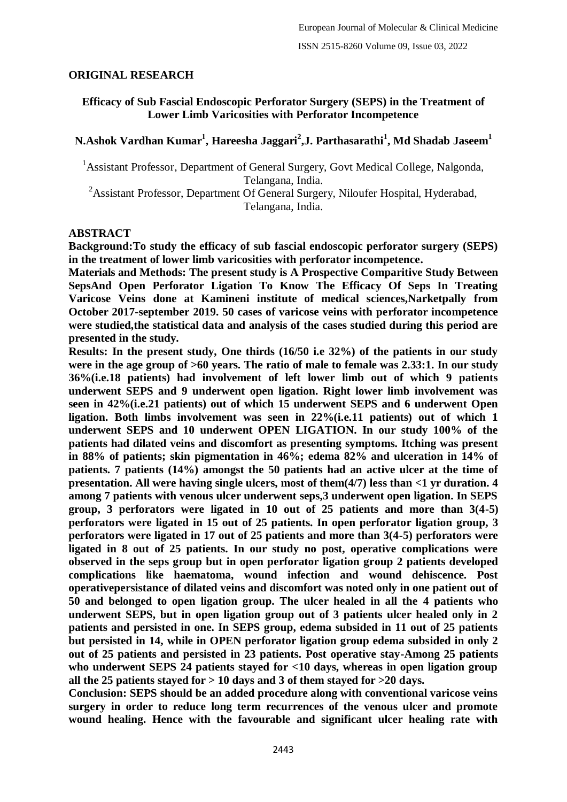#### **ORIGINAL RESEARCH**

### **Efficacy of Sub Fascial Endoscopic Perforator Surgery (SEPS) in the Treatment of Lower Limb Varicosities with Perforator Incompetence**

# **N.Ashok Vardhan Kumar<sup>1</sup> , Hareesha Jaggari<sup>2</sup> ,J. Parthasarathi<sup>1</sup> , Md Shadab Jaseem<sup>1</sup>**

<sup>1</sup> Assistant Professor, Department of General Surgery, Govt Medical College, Nalgonda, Telangana, India.

<sup>2</sup>Assistant Professor, Department Of General Surgery, Niloufer Hospital, Hyderabad, Telangana, India.

#### **ABSTRACT**

**Background:To study the efficacy of sub fascial endoscopic perforator surgery (SEPS) in the treatment of lower limb varicosities with perforator incompetence.**

**Materials and Methods: The present study is A Prospective Comparitive Study Between SepsAnd Open Perforator Ligation To Know The Efficacy Of Seps In Treating Varicose Veins done at Kamineni institute of medical sciences,Narketpally from October 2017-september 2019. 50 cases of varicose veins with perforator incompetence were studied,the statistical data and analysis of the cases studied during this period are presented in the study.**

**Results: In the present study, One thirds (16/50 i.e 32%) of the patients in our study were in the age group of >60 years. The ratio of male to female was 2.33:1. In our study 36%(i.e.18 patients) had involvement of left lower limb out of which 9 patients underwent SEPS and 9 underwent open ligation. Right lower limb involvement was seen in 42%(i.e.21 patients) out of which 15 underwent SEPS and 6 underwent Open ligation. Both limbs involvement was seen in 22%(i.e.11 patients) out of which 1 underwent SEPS and 10 underwent OPEN LIGATION. In our study 100% of the patients had dilated veins and discomfort as presenting symptoms. Itching was present in 88% of patients; skin pigmentation in 46%; edema 82% and ulceration in 14% of patients. 7 patients (14%) amongst the 50 patients had an active ulcer at the time of presentation. All were having single ulcers, most of them(4/7) less than <1 yr duration. 4 among 7 patients with venous ulcer underwent seps,3 underwent open ligation. In SEPS group, 3 perforators were ligated in 10 out of 25 patients and more than 3(4-5) perforators were ligated in 15 out of 25 patients. In open perforator ligation group, 3 perforators were ligated in 17 out of 25 patients and more than 3(4-5) perforators were ligated in 8 out of 25 patients. In our study no post, operative complications were observed in the seps group but in open perforator ligation group 2 patients developed complications like haematoma, wound infection and wound dehiscence. Post operativepersistance of dilated veins and discomfort was noted only in one patient out of 50 and belonged to open ligation group. The ulcer healed in all the 4 patients who underwent SEPS, but in open ligation group out of 3 patients ulcer healed only in 2 patients and persisted in one. In SEPS group, edema subsided in 11 out of 25 patients but persisted in 14, while in OPEN perforator ligation group edema subsided in only 2 out of 25 patients and persisted in 23 patients. Post operative stay-Among 25 patients who underwent SEPS 24 patients stayed for <10 days, whereas in open ligation group all the 25 patients stayed for > 10 days and 3 of them stayed for >20 days.**

**Conclusion: SEPS should be an added procedure along with conventional varicose veins surgery in order to reduce long term recurrences of the venous ulcer and promote wound healing. Hence with the favourable and significant ulcer healing rate with**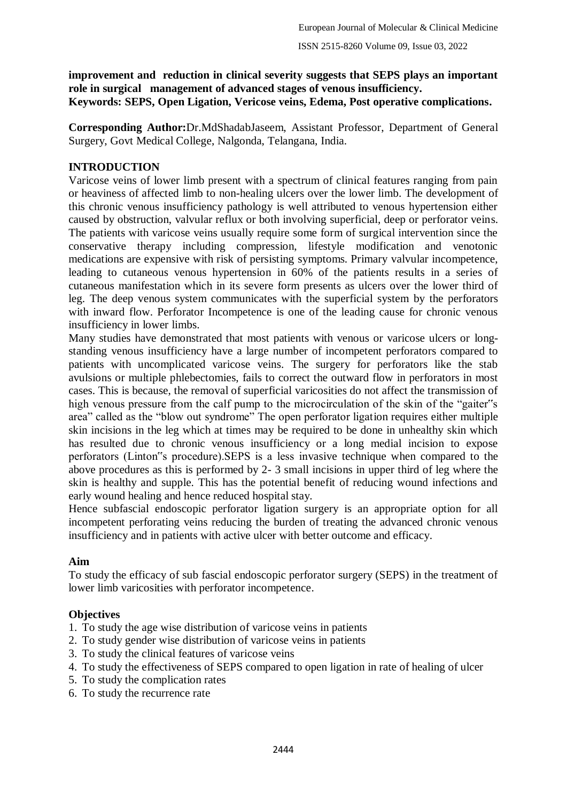**improvement and reduction in clinical severity suggests that SEPS plays an important role in surgical management of advanced stages of venous insufficiency. Keywords: SEPS, Open Ligation, Vericose veins, Edema, Post operative complications.**

**Corresponding Author:**Dr.MdShadabJaseem, Assistant Professor, Department of General Surgery, Govt Medical College, Nalgonda, Telangana, India.

### **INTRODUCTION**

Varicose veins of lower limb present with a spectrum of clinical features ranging from pain or heaviness of affected limb to non-healing ulcers over the lower limb. The development of this chronic venous insufficiency pathology is well attributed to venous hypertension either caused by obstruction, valvular reflux or both involving superficial, deep or perforator veins. The patients with varicose veins usually require some form of surgical intervention since the conservative therapy including compression, lifestyle modification and venotonic medications are expensive with risk of persisting symptoms. Primary valvular incompetence, leading to cutaneous venous hypertension in 60% of the patients results in a series of cutaneous manifestation which in its severe form presents as ulcers over the lower third of leg. The deep venous system communicates with the superficial system by the perforators with inward flow. Perforator Incompetence is one of the leading cause for chronic venous insufficiency in lower limbs.

Many studies have demonstrated that most patients with venous or varicose ulcers or longstanding venous insufficiency have a large number of incompetent perforators compared to patients with uncomplicated varicose veins. The surgery for perforators like the stab avulsions or multiple phlebectomies, fails to correct the outward flow in perforators in most cases. This is because, the removal of superficial varicosities do not affect the transmission of high venous pressure from the calf pump to the microcirculation of the skin of the "gaiter"s area" called as the "blow out syndrome" The open perforator ligation requires either multiple skin incisions in the leg which at times may be required to be done in unhealthy skin which has resulted due to chronic venous insufficiency or a long medial incision to expose perforators (Linton"s procedure).SEPS is a less invasive technique when compared to the above procedures as this is performed by 2- 3 small incisions in upper third of leg where the skin is healthy and supple. This has the potential benefit of reducing wound infections and early wound healing and hence reduced hospital stay.

Hence subfascial endoscopic perforator ligation surgery is an appropriate option for all incompetent perforating veins reducing the burden of treating the advanced chronic venous insufficiency and in patients with active ulcer with better outcome and efficacy.

### **Aim**

To study the efficacy of sub fascial endoscopic perforator surgery (SEPS) in the treatment of lower limb varicosities with perforator incompetence.

### **Objectives**

- 1. To study the age wise distribution of varicose veins in patients
- 2. To study gender wise distribution of varicose veins in patients
- 3. To study the clinical features of varicose veins
- 4. To study the effectiveness of SEPS compared to open ligation in rate of healing of ulcer
- 5. To study the complication rates
- 6. To study the recurrence rate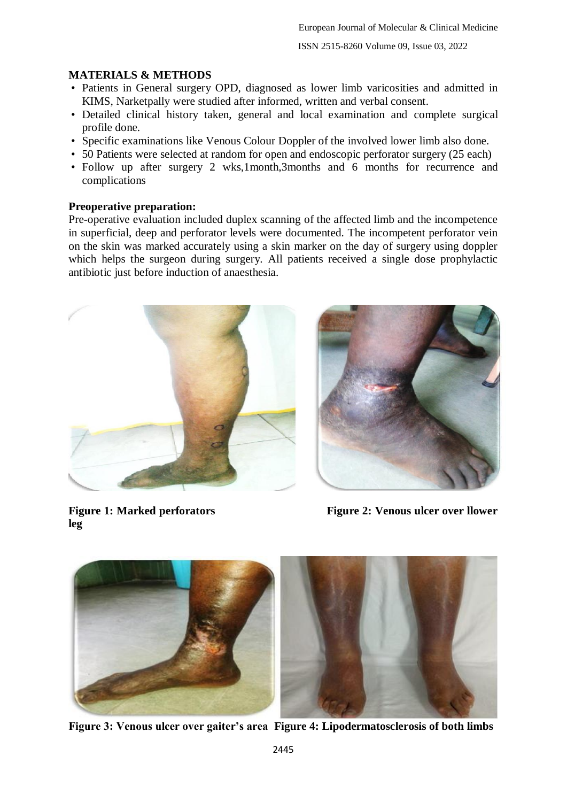## **MATERIALS & METHODS**

- Patients in General surgery OPD, diagnosed as lower limb varicosities and admitted in KIMS, Narketpally were studied after informed, written and verbal consent.
- Detailed clinical history taken, general and local examination and complete surgical profile done.
- Specific examinations like Venous Colour Doppler of the involved lower limb also done.
- 50 Patients were selected at random for open and endoscopic perforator surgery (25 each)
- Follow up after surgery 2 wks,1month,3months and 6 months for recurrence and complications

## **Preoperative preparation:**

Pre-operative evaluation included duplex scanning of the affected limb and the incompetence in superficial, deep and perforator levels were documented. The incompetent perforator vein on the skin was marked accurately using a skin marker on the day of surgery using doppler which helps the surgeon during surgery. All patients received a single dose prophylactic antibiotic just before induction of anaesthesia.





**leg**

Figure 1: Marked perforators **Figure 2: Venous ulcer over llower** 



**Figure 3: Venous ulcer over gaiter's area Figure 4: Lipodermatosclerosis of both limbs**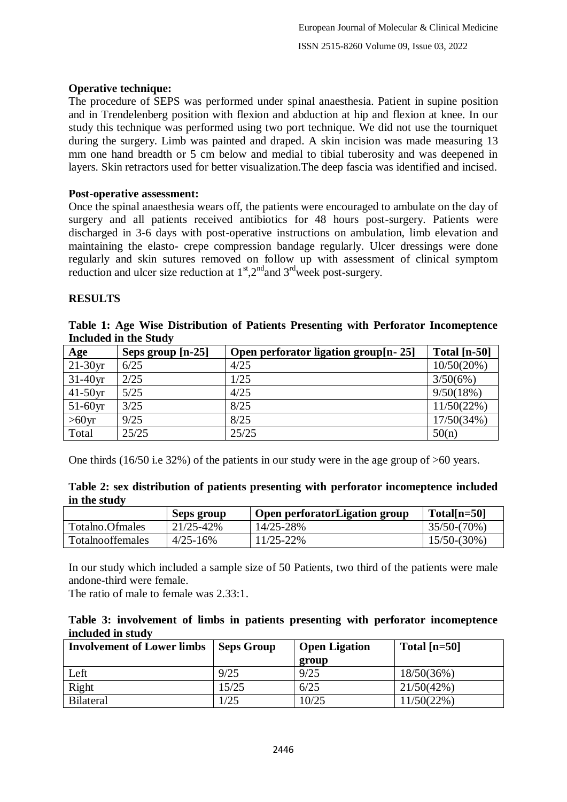### **Operative technique:**

The procedure of SEPS was performed under spinal anaesthesia. Patient in supine position and in Trendelenberg position with flexion and abduction at hip and flexion at knee. In our study this technique was performed using two port technique. We did not use the tourniquet during the surgery. Limb was painted and draped. A skin incision was made measuring 13 mm one hand breadth or 5 cm below and medial to tibial tuberosity and was deepened in layers. Skin retractors used for better visualization.The deep fascia was identified and incised.

#### **Post-operative assessment:**

Once the spinal anaesthesia wears off, the patients were encouraged to ambulate on the day of surgery and all patients received antibiotics for 48 hours post-surgery. Patients were discharged in 3-6 days with post-operative instructions on ambulation, limb elevation and maintaining the elasto- crepe compression bandage regularly. Ulcer dressings were done regularly and skin sutures removed on follow up with assessment of clinical symptom reduction and ulcer size reduction at  $1<sup>st</sup>$ ,  $2<sup>nd</sup>$  and  $3<sup>rd</sup>$  week post-surgery.

#### **RESULTS**

| <b>Included in the Study</b> |                   |                                         |                |  |  |  |  |
|------------------------------|-------------------|-----------------------------------------|----------------|--|--|--|--|
| Age                          | Seps group [n-25] | Open perforator ligation group $[n-25]$ | Total $[n-50]$ |  |  |  |  |
| $21-30yr$                    | 6/25              | 4/25                                    | 10/50(20%)     |  |  |  |  |
| $31-40yr$                    | 2/25              | 1/25                                    | 3/50(6%)       |  |  |  |  |
| $41-50yr$                    | 5/25              | 4/25                                    | 9/50(18%)      |  |  |  |  |
| $51-60yr$                    | 3/25              | 8/25                                    | 11/50(22%)     |  |  |  |  |
| $>60$ yr                     | 9/25              | 8/25                                    | 17/50(34%)     |  |  |  |  |

**Table 1: Age Wise Distribution of Patients Presenting with Perforator Incomeptence** 

One thirds (16/50 i.e 32%) of the patients in our study were in the age group of >60 years.

Total  $\left| \frac{25}{25} \right|$   $\frac{25}{25}$   $\left| \frac{50(n)}{25} \right|$ 

|              |  |  |  | Table 2: sex distribution of patients presenting with perforator incomeptence included |  |
|--------------|--|--|--|----------------------------------------------------------------------------------------|--|
| in the study |  |  |  |                                                                                        |  |

|                         | Seps group     | Open perforatorLigation group | $Total[n=50]$  |
|-------------------------|----------------|-------------------------------|----------------|
| Totalno Ofmales         | $21/25 - 42\%$ | 14/25-28%                     | $35/50-(70%)$  |
| <b>Totalnooffemales</b> | $4/25 - 16%$   | 11/25-22%                     | $15/50-(30\%)$ |

In our study which included a sample size of 50 Patients, two third of the patients were male andone-third were female.

The ratio of male to female was 2.33:1.

| Table 3: involvement of limbs in patients presenting with perforator incomeptence |  |  |  |  |
|-----------------------------------------------------------------------------------|--|--|--|--|
| included in study                                                                 |  |  |  |  |

| <b>Involvement of Lower limbs</b> | <b>Seps Group</b> | <b>Open Ligation</b> | Total $[n=50]$ |
|-----------------------------------|-------------------|----------------------|----------------|
|                                   |                   | group                |                |
| Left                              | 9/25              | 9/25                 | 18/50(36%)     |
| Right                             | 15/25             | 6/25                 | 21/50(42%)     |
| <b>Bilateral</b>                  | 1/25              | 10/25                | 11/50(22%)     |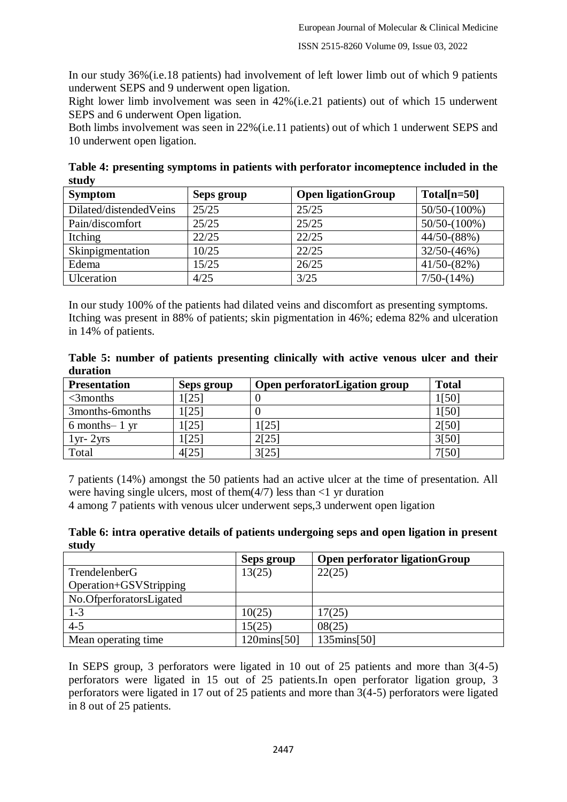In our study 36%(i.e.18 patients) had involvement of left lower limb out of which 9 patients underwent SEPS and 9 underwent open ligation.

Right lower limb involvement was seen in 42%(i.e.21 patients) out of which 15 underwent SEPS and 6 underwent Open ligation.

Both limbs involvement was seen in 22%(i.e.11 patients) out of which 1 underwent SEPS and 10 underwent open ligation.

**Table 4: presenting symptoms in patients with perforator incomeptence included in the study**

| <b>Symptom</b>         | Seps group | <b>Open ligationGroup</b> | $Total[n=50]$   |
|------------------------|------------|---------------------------|-----------------|
| Dilated/distendedVeins | 25/25      | 25/25                     | $50/50-(100\%)$ |
| Pain/discomfort        | 25/25      | 25/25                     | $50/50-(100\%)$ |
| Itching                | 22/25      | 22/25                     | $44/50-(88%)$   |
| Skinpigmentation       | 10/25      | 22/25                     | $32/50-(46%)$   |
| Edema                  | 15/25      | 26/25                     | $41/50-(82%)$   |
| Ulceration             | 4/25       | 3/25                      | $7/50-(14%)$    |

In our study 100% of the patients had dilated veins and discomfort as presenting symptoms. Itching was present in 88% of patients; skin pigmentation in 46%; edema 82% and ulceration in 14% of patients.

**Table 5: number of patients presenting clinically with active venous ulcer and their duration**

| <b>Presentation</b> | Seps group | Open perforatorLigation group | <b>Total</b> |
|---------------------|------------|-------------------------------|--------------|
| $<$ 3 $\rm{months}$ | 1[25]      |                               | 1501         |
| 3months-6months     | 1[25]      |                               | 1[50]        |
| $6$ months-1 yr     | 1[25]      | 1[25]                         | 2[50]        |
| $1yr-2yrs$          | 1[25]      | 2[25]                         | 3[50]        |
| Total               | 4[25]      | 3[25]                         | 7[50]        |

7 patients (14%) amongst the 50 patients had an active ulcer at the time of presentation. All were having single ulcers, most of them( $4/7$ ) less than  $\leq 1$  yr duration 4 among 7 patients with venous ulcer underwent seps,3 underwent open ligation

**Table 6: intra operative details of patients undergoing seps and open ligation in present study**

|                         | Seps group             | Open perforator ligationGroup |
|-------------------------|------------------------|-------------------------------|
| TrendelenberG           | 13(25)                 | 22(25)                        |
| Operation+GSVStripping  |                        |                               |
| No.OfperforatorsLigated |                        |                               |
| $1 - 3$                 | 10(25)                 | 17(25)                        |
| $4 - 5$                 | 15(25)                 | 08(25)                        |
| Mean operating time     | $120 \text{mins} [50]$ | $135 \text{mins} [50]$        |

In SEPS group, 3 perforators were ligated in 10 out of 25 patients and more than 3(4-5) perforators were ligated in 15 out of 25 patients.In open perforator ligation group, 3 perforators were ligated in 17 out of 25 patients and more than 3(4-5) perforators were ligated in 8 out of 25 patients.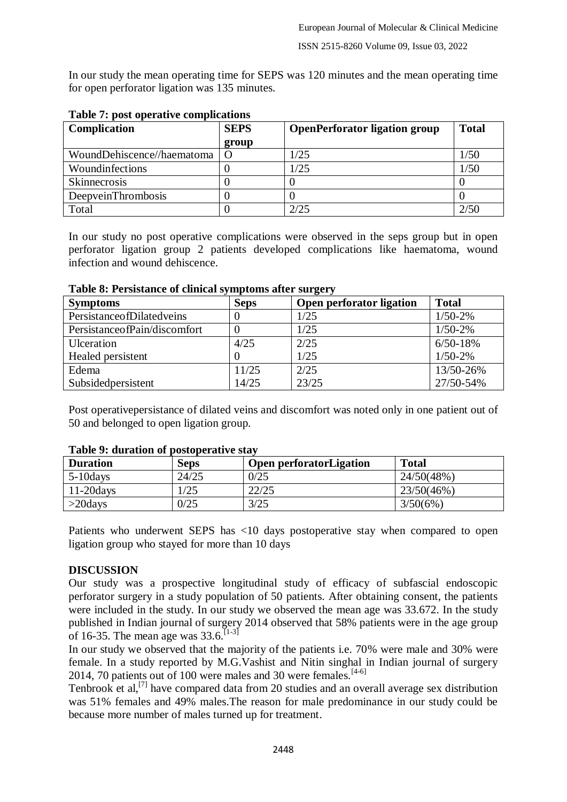In our study the mean operating time for SEPS was 120 minutes and the mean operating time for open perforator ligation was 135 minutes.

| <b>Complication</b>        | <b>SEPS</b> | <b>OpenPerforator ligation group</b> | <b>Total</b> |
|----------------------------|-------------|--------------------------------------|--------------|
|                            | group       |                                      |              |
| WoundDehiscence//haematoma | $\Omega$    | 1/25                                 | 1/50         |
| Woundinfections            |             | 1/25                                 | 1/50         |
| <b>Skinnecrosis</b>        |             |                                      |              |
| <b>DeepveinThrombosis</b>  |             |                                      |              |
| Total                      |             | 2/25                                 |              |

### **Table 7: post operative complications**

In our study no post operative complications were observed in the seps group but in open perforator ligation group 2 patients developed complications like haematoma, wound infection and wound dehiscence.

| <b>Symptoms</b>              | <b>Seps</b> | Open perforator ligation | <b>Total</b> |
|------------------------------|-------------|--------------------------|--------------|
| PersistanceofDilatedveins    |             | 1/25                     | $1/50-2%$    |
| PersistanceofPain/discomfort |             | 1/25                     | $1/50-2%$    |
| <b>U</b> lceration           | 4/25        | 2/25                     | $6/50 - 18%$ |
| Healed persistent            |             | 1/25                     | $1/50-2%$    |
| Edema                        | 11/25       | 2/25                     | 13/50-26%    |
| Subsidedpersistent           | 14/25       | 23/25                    | 27/50-54%    |

#### **Table 8: Persistance of clinical symptoms after surgery**

Post operativepersistance of dilated veins and discomfort was noted only in one patient out of 50 and belonged to open ligation group.

| Table 2. Guration of postoperative stay |             |                                |              |  |  |  |
|-----------------------------------------|-------------|--------------------------------|--------------|--|--|--|
| <b>Duration</b>                         | <b>Seps</b> | <b>Open perforatorLigation</b> | <b>Total</b> |  |  |  |
| $5-10$ days                             | 24/25       | 0/25                           | 24/50(48%)   |  |  |  |
| $11-20$ days                            |             | 22/25                          | 23/50(46%)   |  |  |  |
| $>$ 20days                              | 0/25        | 3/25                           | 3/50(6%)     |  |  |  |

#### **Table 9: duration of postoperative stay**

Patients who underwent SEPS has <10 days postoperative stay when compared to open ligation group who stayed for more than 10 days

### **DISCUSSION**

Our study was a prospective longitudinal study of efficacy of subfascial endoscopic perforator surgery in a study population of 50 patients. After obtaining consent, the patients were included in the study. In our study we observed the mean age was 33.672. In the study published in Indian journal of surgery 2014 observed that 58% patients were in the age group of 16-35. The mean age was  $33.6$ .<sup>[1-3]</sup>

In our study we observed that the majority of the patients i.e. 70% were male and 30% were female. In a study reported by M.G.Vashist and Nitin singhal in Indian journal of surgery 2014, 70 patients out of 100 were males and 30 were females.  $[4-6]$ 

Tenbrook et al,<sup>[7]</sup> have compared data from 20 studies and an overall average sex distribution was 51% females and 49% males.The reason for male predominance in our study could be because more number of males turned up for treatment.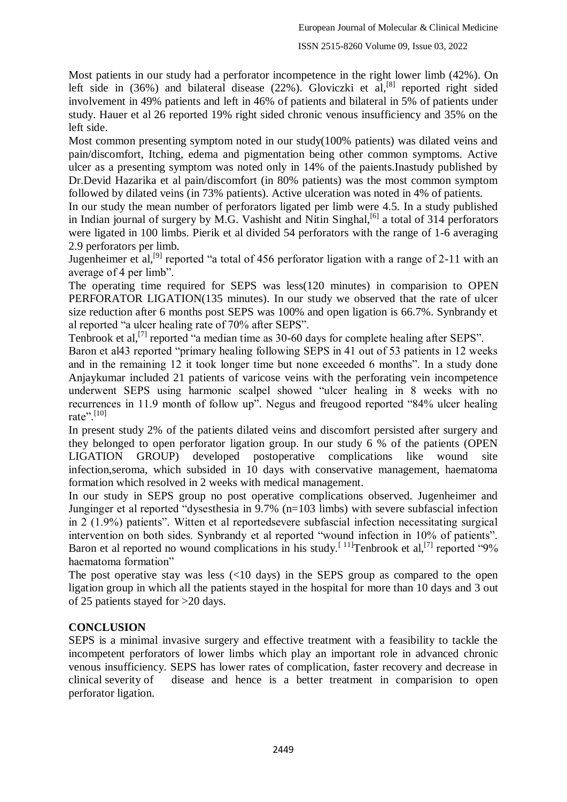Most patients in our study had a perforator incompetence in the right lower limb (42%). On left side in (36%) and bilateral disease (22%). Gloviczki et al,<sup>[8]</sup> reported right sided involvement in 49% patients and left in 46% of patients and bilateral in 5% of patients under study. Hauer et al 26 reported 19% right sided chronic venous insufficiency and 35% on the left side.

Most common presenting symptom noted in our study(100% patients) was dilated veins and pain/discomfort, Itching, edema and pigmentation being other common symptoms. Active ulcer as a presenting symptom was noted only in 14% of the paients.Inastudy published by Dr.Devid Hazarika et al pain/discomfort (in 80% patients) was the most common symptom followed by dilated veins (in 73% patients). Active ulceration was noted in 4% of patients.

In our study the mean number of perforators ligated per limb were 4.5. In a study published in Indian journal of surgery by M.G. Vashisht and Nitin Singhal,<sup>[6]</sup> a total of 314 perforators were ligated in 100 limbs. Pierik et al divided 54 perforators with the range of 1-6 averaging 2.9 perforators per limb.

Jugenheimer et al,<sup>[9]</sup> reported "a total of 456 perforator ligation with a range of 2-11 with an average of 4 per limb".

The operating time required for SEPS was less(120 minutes) in comparision to OPEN PERFORATOR LIGATION(135 minutes). In our study we observed that the rate of ulcer size reduction after 6 months post SEPS was 100% and open ligation is 66.7%. Synbrandy et al reported "a ulcer healing rate of 70% after SEPS".

Tenbrook et al,<sup>[7]</sup> reported "a median time as 30-60 days for complete healing after SEPS".

Baron et al43 reported "primary healing following SEPS in 41 out of 53 patients in 12 weeks and in the remaining 12 it took longer time but none exceeded 6 months". In a study done Anjaykumar included 21 patients of varicose veins with the perforating vein incompetence underwent SEPS using harmonic scalpel showed "ulcer healing in 8 weeks with no recurrences in 11.9 month of follow up". Negus and freugood reported "84% ulcer healing rate". $[10]$ 

In present study 2% of the patients dilated veins and discomfort persisted after surgery and they belonged to open perforator ligation group. In our study 6 % of the patients (OPEN LIGATION GROUP) developed postoperative complications like wound site infection,seroma, which subsided in 10 days with conservative management, haematoma formation which resolved in 2 weeks with medical management.

In our study in SEPS group no post operative complications observed. Jugenheimer and Junginger et al reported "dysesthesia in 9.7% (n=103 limbs) with severe subfascial infection in 2 (1.9%) patients". Witten et al reportedsevere subfascial infection necessitating surgical intervention on both sides. Synbrandy et al reported "wound infection in 10% of patients". Baron et al reported no wound complications in his study.<sup>[11]</sup>Tenbrook et al,<sup>[7]</sup> reported "9% haematoma formation"

The post operative stay was less (<10 days) in the SEPS group as compared to the open ligation group in which all the patients stayed in the hospital for more than 10 days and 3 out of 25 patients stayed for >20 days.

### **CONCLUSION**

SEPS is a minimal invasive surgery and effective treatment with a feasibility to tackle the incompetent perforators of lower limbs which play an important role in advanced chronic venous insufficiency. SEPS has lower rates of complication, faster recovery and decrease in clinical severity of disease and hence is a better treatment in comparision to open perforator ligation.